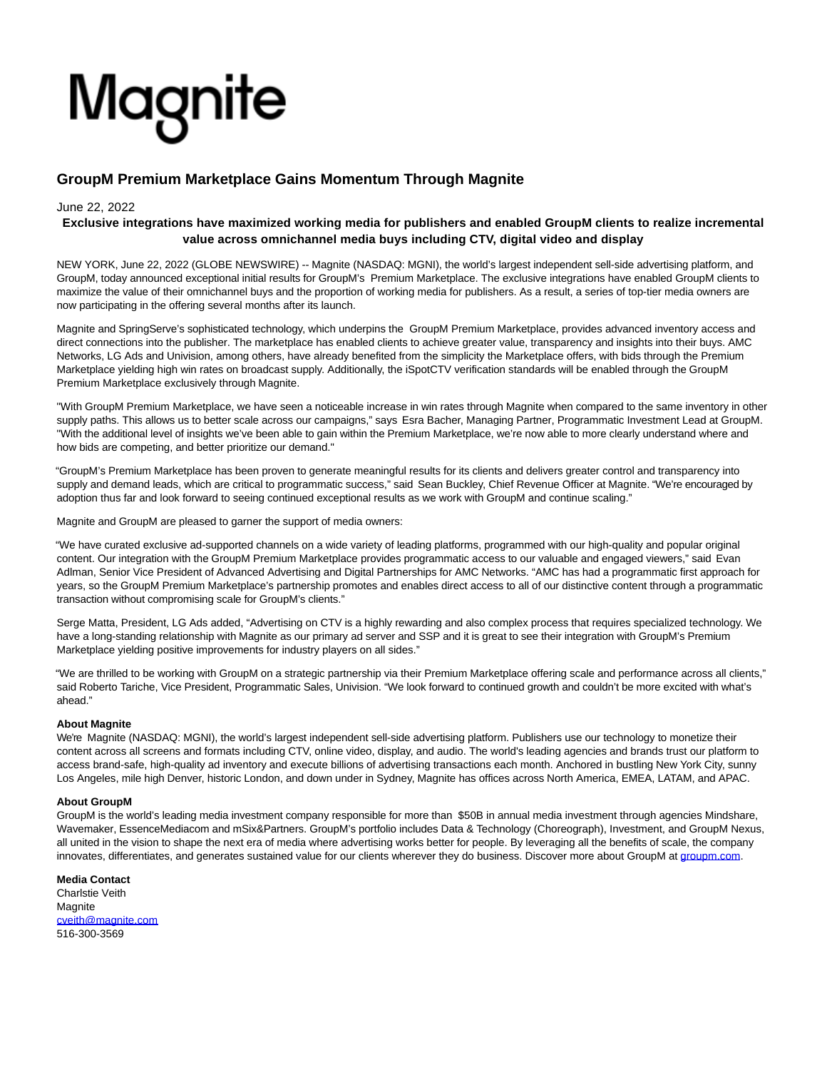# Magnite

# **GroupM Premium Marketplace Gains Momentum Through Magnite**

### June 22, 2022

## **Exclusive integrations have maximized working media for publishers and enabled GroupM clients to realize incremental value across omnichannel media buys including CTV, digital video and display**

NEW YORK, June 22, 2022 (GLOBE NEWSWIRE) -- Magnite (NASDAQ: MGNI), the world's largest independent sell-side advertising platform, and GroupM, today announced exceptional initial results for GroupM's Premium Marketplace. The exclusive integrations have enabled GroupM clients to maximize the value of their omnichannel buys and the proportion of working media for publishers. As a result, a series of top-tier media owners are now participating in the offering several months after its launch.

Magnite and SpringServe's sophisticated technology, which underpins the GroupM Premium Marketplace, provides advanced inventory access and direct connections into the publisher. The marketplace has enabled clients to achieve greater value, transparency and insights into their buys. AMC Networks, LG Ads and Univision, among others, have already benefited from the simplicity the Marketplace offers, with bids through the Premium Marketplace yielding high win rates on broadcast supply. Additionally, the iSpotCTV verification standards will be enabled through the GroupM Premium Marketplace exclusively through Magnite.

"With GroupM Premium Marketplace, we have seen a noticeable increase in win rates through Magnite when compared to the same inventory in other supply paths. This allows us to better scale across our campaigns," says Esra Bacher, Managing Partner, Programmatic Investment Lead at GroupM. "With the additional level of insights we've been able to gain within the Premium Marketplace, we're now able to more clearly understand where and how bids are competing, and better prioritize our demand."

"GroupM's Premium Marketplace has been proven to generate meaningful results for its clients and delivers greater control and transparency into supply and demand leads, which are critical to programmatic success," said Sean Buckley, Chief Revenue Officer at Magnite. "We're encouraged by adoption thus far and look forward to seeing continued exceptional results as we work with GroupM and continue scaling."

Magnite and GroupM are pleased to garner the support of media owners:

"We have curated exclusive ad-supported channels on a wide variety of leading platforms, programmed with our high-quality and popular original content. Our integration with the GroupM Premium Marketplace provides programmatic access to our valuable and engaged viewers," said Evan Adlman, Senior Vice President of Advanced Advertising and Digital Partnerships for AMC Networks. "AMC has had a programmatic first approach for years, so the GroupM Premium Marketplace's partnership promotes and enables direct access to all of our distinctive content through a programmatic transaction without compromising scale for GroupM's clients."

Serge Matta, President, LG Ads added, "Advertising on CTV is a highly rewarding and also complex process that requires specialized technology. We have a long-standing relationship with Magnite as our primary ad server and SSP and it is great to see their integration with GroupM's Premium Marketplace yielding positive improvements for industry players on all sides."

"We are thrilled to be working with GroupM on a strategic partnership via their Premium Marketplace offering scale and performance across all clients," said Roberto Tariche, Vice President, Programmatic Sales, Univision. "We look forward to continued growth and couldn't be more excited with what's ahead."

#### **About Magnite**

We're Magnite (NASDAQ: MGNI), the world's largest independent sell-side advertising platform. Publishers use our technology to monetize their content across all screens and formats including CTV, online video, display, and audio. The world's leading agencies and brands trust our platform to access brand-safe, high-quality ad inventory and execute billions of advertising transactions each month. Anchored in bustling New York City, sunny Los Angeles, mile high Denver, historic London, and down under in Sydney, Magnite has offices across North America, EMEA, LATAM, and APAC.

#### **About GroupM**

GroupM is the world's leading media investment company responsible for more than \$50B in annual media investment through agencies Mindshare, Wavemaker, EssenceMediacom and mSix&Partners. GroupM's portfolio includes Data & Technology (Choreograph), Investment, and GroupM Nexus, all united in the vision to shape the next era of media where advertising works better for people. By leveraging all the benefits of scale, the company innovates, differentiates, and generates sustained value for our clients wherever they do business. Discover more about GroupM at [groupm.com.](http://groupm.com/)

**Media Contact** Charlstie Veith **Magnite** [cveith@magnite.com](https://www.globenewswire.com/Tracker?data=KsLbi82jiSBFYrNoEN8kARc3kF-vljh9vK--oyVmfubKHIvnUU373hCzQnN2QpgFTFsOEqlZnf28LRl9eFBRvPoe07wUSQPnMJsVLekdXg4=) 516-300-3569